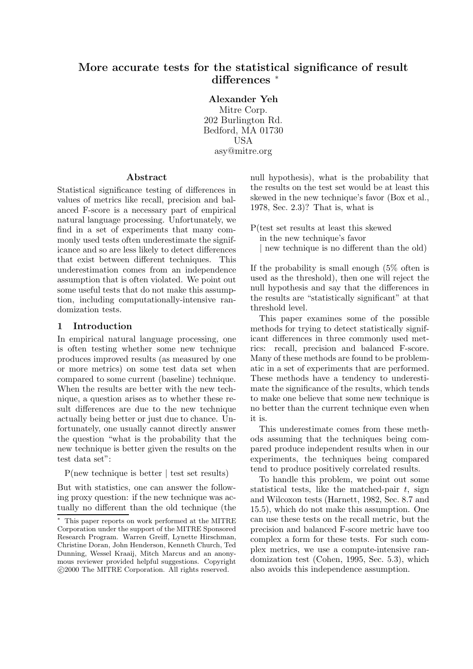# **More accurate tests for the statistical significance of result differences** <sup>∗</sup>

**Alexander Yeh** Mitre Corp. 202 Burlington Rd. Bedford, MA 01730 USA asy@mitre.org

#### **Abstract**

Statistical significance testing of differences in values of metrics like recall, precision and balanced F-score is a necessary part of empirical natural language processing. Unfortunately, we find in a set of experiments that many commonly used tests often underestimate the significance and so are less likely to detect differences that exist between different techniques. This underestimation comes from an independence assumption that is often violated. We point out some useful tests that do not make this assumption, including computationally-intensive randomization tests.

### **1 Introduction**

In empirical natural language processing, one is often testing whether some new technique produces improved results (as measured by one or more metrics) on some test data set when compared to some current (baseline) technique. When the results are better with the new technique, a question arises as to whether these result differences are due to the new technique actually being better or just due to chance. Unfortunately, one usually cannot directly answer the question "what is the probability that the new technique is better given the results on the test data set":

P(new technique is better | test set results)

But with statistics, one can answer the following proxy question: if the new technique was actually no different than the old technique (the null hypothesis), what is the probability that the results on the test set would be at least this skewed in the new technique's favor (Box et al., 1978, Sec. 2.3)? That is, what is

- P(test set results at least this skewed in the new technique's favor
	- | new technique is no different than the old)

If the probability is small enough (5% often is used as the threshold), then one will reject the null hypothesis and say that the differences in the results are "statistically significant" at that threshold level.

This paper examines some of the possible methods for trying to detect statistically significant differences in three commonly used metrics: recall, precision and balanced F-score. Many of these methods are found to be problematic in a set of experiments that are performed. These methods have a tendency to underestimate the significance of the results, which tends to make one believe that some new technique is no better than the current technique even when it is.

This underestimate comes from these methods assuming that the techniques being compared produce independent results when in our experiments, the techniques being compared tend to produce positively correlated results.

To handle this problem, we point out some statistical tests, like the matched-pair  $t$ , sign and Wilcoxon tests (Harnett, 1982, Sec. 8.7 and 15.5), which do not make this assumption. One can use these tests on the recall metric, but the precision and balanced F-score metric have too complex a form for these tests. For such complex metrics, we use a compute-intensive randomization test (Cohen, 1995, Sec. 5.3), which also avoids this independence assumption.

<sup>∗</sup> This paper reports on work performed at the MITRE Corporation under the support of the MITRE Sponsored Research Program. Warren Greiff, Lynette Hirschman, Christine Doran, John Henderson, Kenneth Church, Ted Dunning, Wessel Kraaij, Mitch Marcus and an anonymous reviewer provided helpful suggestions. Copyright c 2000 The MITRE Corporation. All rights reserved.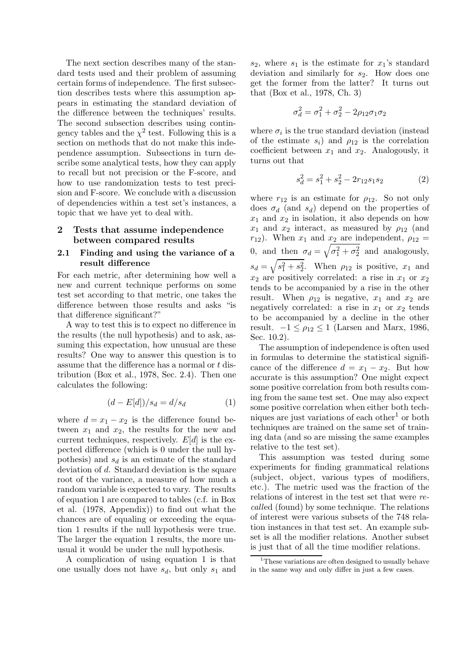The next section describes many of the standard tests used and their problem of assuming certain forms of independence. The first subsection describes tests where this assumption appears in estimating the standard deviation of the difference between the techniques' results. The second subsection describes using contingency tables and the  $\chi^2$  test. Following this is a section on methods that do not make this independence assumption. Subsections in turn describe some analytical tests, how they can apply to recall but not precision or the F-score, and how to use randomization tests to test precision and F-score. We conclude with a discussion of dependencies within a test set's instances, a topic that we have yet to deal with.

# **2 Tests that assume independence between compared results**

#### **2.1 Finding and using the variance of a result difference**

For each metric, after determining how well a new and current technique performs on some test set according to that metric, one takes the difference between those results and asks "is that difference significant?"

A way to test this is to expect no difference in the results (the null hypothesis) and to ask, assuming this expectation, how unusual are these results? One way to answer this question is to assume that the difference has a normal or t distribution (Box et al., 1978, Sec. 2.4). Then one calculates the following:

$$
(d - E[d])/s_d = d/s_d \tag{1}
$$

where  $d = x_1 - x_2$  is the difference found between  $x_1$  and  $x_2$ , the results for the new and current techniques, respectively.  $E[d]$  is the expected difference (which is 0 under the null hypothesis) and  $s_d$  is an estimate of the standard deviation of d. Standard deviation is the square root of the variance, a measure of how much a random variable is expected to vary. The results of equation 1 are compared to tables (c.f. in Box et al. (1978, Appendix)) to find out what the chances are of equaling or exceeding the equation 1 results if the null hypothesis were true. The larger the equation 1 results, the more unusual it would be under the null hypothesis.

A complication of using equation 1 is that one usually does not have  $s_d$ , but only  $s_1$  and

 $s_2$ , where  $s_1$  is the estimate for  $x_1$ 's standard deviation and similarly for  $s_2$ . How does one get the former from the latter? It turns out that (Box et al., 1978, Ch. 3)

$$
\sigma_d^2 = \sigma_1^2 + \sigma_2^2 - 2\rho_{12}\sigma_1\sigma_2
$$

where  $\sigma_i$  is the true standard deviation (instead of the estimate  $s_i$ ) and  $\rho_{12}$  is the correlation coefficient between  $x_1$  and  $x_2$ . Analogously, it turns out that

$$
s_d^2 = s_1^2 + s_2^2 - 2r_{12}s_1s_2 \tag{2}
$$

where  $r_{12}$  is an estimate for  $\rho_{12}$ . So not only does  $\sigma_d$  (and  $s_d$ ) depend on the properties of  $x_1$  and  $x_2$  in isolation, it also depends on how  $x_1$  and  $x_2$  interact, as measured by  $\rho_{12}$  (and  $r_{12}$ ). When  $x_1$  and  $x_2$  are independent,  $\rho_{12} =$ 0, and then  $\sigma_d = \sqrt{\sigma_1^2 + \sigma_2^2}$  and analogously,  $s_d = \sqrt{s_1^2 + s_2^2}$ . When  $\rho_{12}$  is positive,  $x_1$  and  $x_2$  are positively correlated: a rise in  $x_1$  or  $x_2$ tends to be accompanied by a rise in the other result. When  $\rho_{12}$  is negative,  $x_1$  and  $x_2$  are negatively correlated: a rise in  $x_1$  or  $x_2$  tends to be accompanied by a decline in the other result.  $-1 \leq \rho_{12} \leq 1$  (Larsen and Marx, 1986, Sec. 10.2).

The assumption of independence is often used in formulas to determine the statistical significance of the difference  $d = x_1 - x_2$ . But how accurate is this assumption? One might expect some positive correlation from both results coming from the same test set. One may also expect some positive correlation when either both techniques are just variations of each other<sup>1</sup> or both techniques are trained on the same set of training data (and so are missing the same examples relative to the test set).

This assumption was tested during some experiments for finding grammatical relations (subject, object, various types of modifiers, etc.). The metric used was the fraction of the relations of interest in the test set that were *recall*ed (found) by some technique. The relations of interest were various subsets of the 748 relation instances in that test set. An example subset is all the modifier relations. Another subset is just that of all the time modifier relations.

<sup>&</sup>lt;sup>1</sup>These variations are often designed to usually behave in the same way and only differ in just a few cases.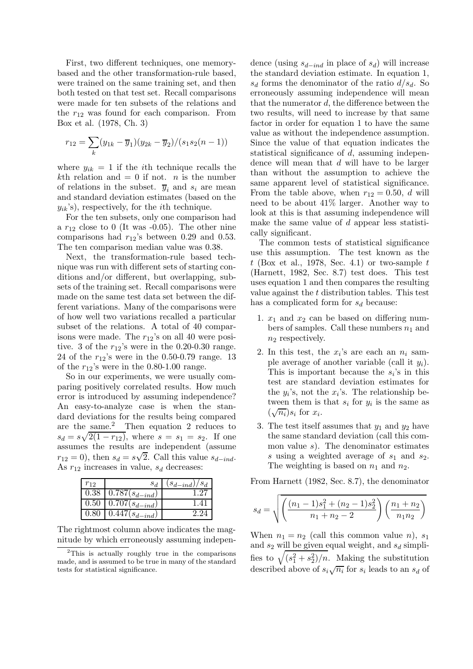First, two different techniques, one memorybased and the other transformation-rule based, were trained on the same training set, and then both tested on that test set. Recall comparisons were made for ten subsets of the relations and the  $r_{12}$  was found for each comparison. From Box et al. (1978, Ch. 3)

$$
r_{12} = \sum_{k} (y_{1k} - \overline{y}_1)(y_{2k} - \overline{y}_2)/(s_1 s_2 (n-1))
$$

where  $y_{ik} = 1$  if the *i*th technique recalls the kth relation and  $= 0$  if not. *n* is the number of relations in the subset.  $\overline{y}_i$  and  $s_i$  are mean and standard deviation estimates (based on the  $y_{ik}$ 's), respectively, for the *i*th technique.

For the ten subsets, only one comparison had a  $r_{12}$  close to 0 (It was -0.05). The other nine comparisons had  $r_{12}$ 's between 0.29 and 0.53. The ten comparison median value was 0.38.

Next, the transformation-rule based technique was run with different sets of starting conditions and/or different, but overlapping, subsets of the training set. Recall comparisons were made on the same test data set between the different variations. Many of the comparisons were of how well two variations recalled a particular subset of the relations. A total of 40 comparisons were made. The  $r_{12}$ 's on all 40 were positive. 3 of the  $r_{12}$ 's were in the 0.20-0.30 range. 24 of the  $r_{12}$ 's were in the 0.50-0.79 range. 13 of the  $r_{12}$ 's were in the 0.80-1.00 range.

So in our experiments, we were usually comparing positively correlated results. How much error is introduced by assuming independence? An easy-to-analyze case is when the standard deviations for the results being compared are the same.<sup>2</sup> Then equation 2 reduces to  $s_d = s\sqrt{2(1 - r_{12})}$ , where  $s = s_1 = s_2$ . If one assumes the results are independent (assume  $r_{12} = 0$ ), then  $s_d = s\sqrt{2}$ . Call this value  $s_{d-ind}$ . As  $r_{12}$  increases in value,  $s_d$  decreases:

| $r_{12}$ |                                          | $(s_{d-ind})/s_d$ |
|----------|------------------------------------------|-------------------|
|          | $\overline{0.38 \mid 0.787(s_{d-ind})}$  |                   |
|          | $\overline{0.50 \mid 0.707} (s_{d-ind})$ |                   |
| 0.80     | $\overline{0.447}(s_{d-ind})$            | 2.24              |

The rightmost column above indicates the magnitude by which erroneously assuming indepen-

dence (using  $s_{d-ind}$  in place of  $s_d$ ) will increase the standard deviation estimate. In equation 1,  $s_d$  forms the denominator of the ratio  $d/s_d$ . So erroneously assuming independence will mean that the numerator  $d$ , the difference between the two results, will need to increase by that same factor in order for equation 1 to have the same value as without the independence assumption. Since the value of that equation indicates the statistical significance of  $d$ , assuming independence will mean that d will have to be larger than without the assumption to achieve the same apparent level of statistical significance. From the table above, when  $r_{12} = 0.50$ , d will need to be about 41% larger. Another way to look at this is that assuming independence will make the same value of  $d$  appear less statistically significant.

The common tests of statistical significance use this assumption. The test known as the t (Box et al., 1978, Sec. 4.1) or two-sample  $t$ (Harnett, 1982, Sec. 8.7) test does. This test uses equation 1 and then compares the resulting value against the  $t$  distribution tables. This test has a complicated form for  $s_d$  because:

- 1.  $x_1$  and  $x_2$  can be based on differing numbers of samples. Call these numbers  $n_1$  and  $n_2$  respectively.
- 2. In this test, the  $x_i$ 's are each an  $n_i$  sample average of another variable (call it  $y_i$ ). This is important because the  $s_i$ 's in this test are standard deviation estimates for the  $y_i$ 's, not the  $x_i$ 's. The relationship between them is that  $s_i$  for  $y_i$  is the same as  $(\sqrt{n_i})s_i$  for  $x_i$ .
- 3. The test itself assumes that  $y_1$  and  $y_2$  have the same standard deviation (call this common value  $s$ ). The denominator estimates s using a weighted average of  $s_1$  and  $s_2$ . The weighting is based on  $n_1$  and  $n_2$ .

From Harnett (1982, Sec. 8.7), the denominator

$$
s_d = \sqrt{\left(\frac{(n_1 - 1)s_1^2 + (n_2 - 1)s_2^2}{n_1 + n_2 - 2}\right)\left(\frac{n_1 + n_2}{n_1 n_2}\right)}
$$

When  $n_1 = n_2$  (call this common value n),  $s_1$ and  $s_2$  will be given equal weight, and  $s_d$  simplifies to  $\sqrt{(s_1^2+s_2^2)/n}$ . Making the substitution described above of  $s_i\sqrt{n_i}$  for  $s_i$  leads to an  $s_d$  of

 $2$ This is actually roughly true in the comparisons made, and is assumed to be true in many of the standard tests for statistical significance.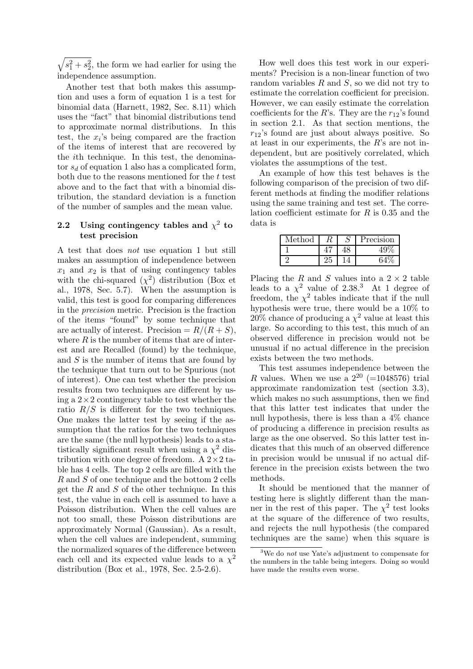$\sqrt{s_1^2 + s_2^2}$ , the form we had earlier for using the independence assumption.

Another test that both makes this assumption and uses a form of equation 1 is a test for binomial data (Harnett, 1982, Sec. 8.11) which uses the "fact" that binomial distributions tend to approximate normal distributions. In this test, the  $x_i$ 's being compared are the fraction of the items of interest that are recovered by the ith technique. In this test, the denominator  $s_d$  of equation 1 also has a complicated form, both due to the reasons mentioned for the  $t$  test above and to the fact that with a binomial distribution, the standard deviation is a function of the number of samples and the mean value.

# **2.2** Using contingency tables and  $\chi^2$  to **test precision**

A test that does *not* use equation 1 but still makes an assumption of independence between  $x_1$  and  $x_2$  is that of using contingency tables with the chi-squared  $(\chi^2)$  distribution (Box et al., 1978, Sec. 5.7). When the assumption is valid, this test is good for comparing differences in the *precision* metric. Precision is the fraction of the items "found" by some technique that are actually of interest. Precision  $= R/(R+S)$ , where  $R$  is the number of items that are of interest and are Recalled (found) by the technique, and  $S$  is the number of items that are found by the technique that turn out to be Spurious (not of interest). One can test whether the precision results from two techniques are different by using a  $2 \times 2$  contingency table to test whether the ratio  $R/S$  is different for the two techniques. One makes the latter test by seeing if the assumption that the ratios for the two techniques are the same (the null hypothesis) leads to a statistically significant result when using a  $\chi^2$  distribution with one degree of freedom. A  $2 \times 2$  table has 4 cells. The top 2 cells are filled with the R and S of one technique and the bottom 2 cells get the  $R$  and  $S$  of the other technique. In this test, the value in each cell is assumed to have a Poisson distribution. When the cell values are not too small, these Poisson distributions are approximately Normal (Gaussian). As a result, when the cell values are independent, summing the normalized squares of the difference between each cell and its expected value leads to a  $\chi^2$ distribution (Box et al., 1978, Sec. 2.5-2.6).

How well does this test work in our experiments? Precision is a non-linear function of two random variables  $R$  and  $S$ , so we did not try to estimate the correlation coefficient for precision. However, we can easily estimate the correlation coefficients for the R's. They are the  $r_{12}$ 's found in section 2.1. As that section mentions, the  $r_{12}$ 's found are just about always positive. So at least in our experiments, the  $R$ 's are not independent, but are positively correlated, which violates the assumptions of the test.

An example of how this test behaves is the following comparison of the precision of two different methods at finding the modifier relations using the same training and test set. The correlation coefficient estimate for  $R$  is 0.35 and the data is

| Method |  | Precision |
|--------|--|-----------|
|        |  |           |
|        |  |           |

Placing the R and S values into a  $2 \times 2$  table leads to a  $\chi^2$  value of 2.38.<sup>3</sup> At 1 degree of freedom, the  $\chi^2$  tables indicate that if the null hypothesis were true, there would be a 10% to  $20\%$  chance of producing a  $\chi^2$  value at least this large. So according to this test, this much of an observed difference in precision would not be unusual if no actual difference in the precision exists between the two methods.

This test assumes independence between the R values. When we use a  $2^{20}$  (=1048576) trial approximate randomization test (section 3.3), which makes no such assumptions, then we find that this latter test indicates that under the null hypothesis, there is less than a 4% chance of producing a difference in precision results as large as the one observed. So this latter test indicates that this much of an observed difference in precision would be unusual if no actual difference in the precision exists between the two methods.

It should be mentioned that the manner of testing here is slightly different than the manner in the rest of this paper. The  $\chi^2$  test looks at the square of the difference of two results, and rejects the null hypothesis (the compared techniques are the same) when this square is

 $3W_e$  do *not* use Yate's adjustment to compensate for the numbers in the table being integers. Doing so would have made the results even worse.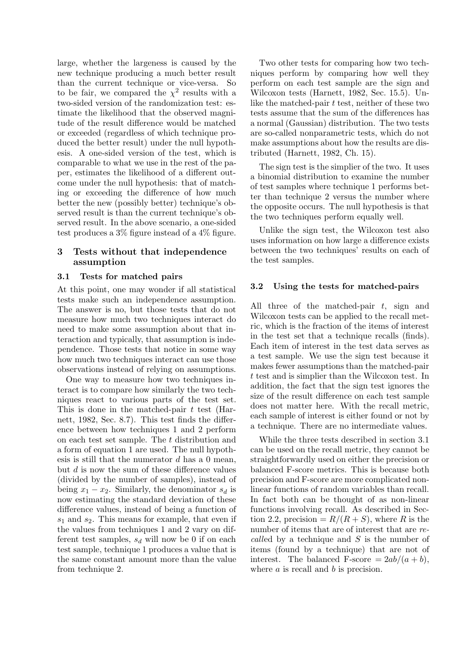large, whether the largeness is caused by the new technique producing a much better result than the current technique or vice-versa. So to be fair, we compared the  $\chi^2$  results with a two-sided version of the randomization test: estimate the likelihood that the observed magnitude of the result difference would be matched or exceeded (regardless of which technique produced the better result) under the null hypothesis. A one-sided version of the test, which is comparable to what we use in the rest of the paper, estimates the likelihood of a different outcome under the null hypothesis: that of matching or exceeding the difference of how much better the new (possibly better) technique's observed result is than the current technique's observed result. In the above scenario, a one-sided test produces a 3% figure instead of a 4% figure.

## **3 Tests without that independence assumption**

## **3.1 Tests for matched pairs**

At this point, one may wonder if all statistical tests make such an independence assumption. The answer is no, but those tests that do not measure how much two techniques interact do need to make some assumption about that interaction and typically, that assumption is independence. Those tests that notice in some way how much two techniques interact can use those observations instead of relying on assumptions.

One way to measure how two techniques interact is to compare how similarly the two techniques react to various parts of the test set. This is done in the matched-pair t test (Harnett, 1982, Sec. 8.7). This test finds the difference between how techniques 1 and 2 perform on each test set sample. The  $t$  distribution and a form of equation 1 are used. The null hypothesis is still that the numerator  $d$  has a 0 mean, but  $d$  is now the sum of these difference values (divided by the number of samples), instead of being  $x_1 - x_2$ . Similarly, the denominator  $s_d$  is now estimating the standard deviation of these difference values, instead of being a function of  $s_1$  and  $s_2$ . This means for example, that even if the values from techniques 1 and 2 vary on different test samples,  $s_d$  will now be 0 if on each test sample, technique 1 produces a value that is the same constant amount more than the value from technique 2.

Two other tests for comparing how two techniques perform by comparing how well they perform on each test sample are the sign and Wilcoxon tests (Harnett, 1982, Sec. 15.5). Unlike the matched-pair  $t$  test, neither of these two tests assume that the sum of the differences has a normal (Gaussian) distribution. The two tests are so-called nonparametric tests, which do not make assumptions about how the results are distributed (Harnett, 1982, Ch. 15).

The sign test is the simplier of the two. It uses a binomial distribution to examine the number of test samples where technique 1 performs better than technique 2 versus the number where the opposite occurs. The null hypothesis is that the two techniques perform equally well.

Unlike the sign test, the Wilcoxon test also uses information on how large a difference exists between the two techniques' results on each of the test samples.

#### **3.2 Using the tests for matched-pairs**

All three of the matched-pair  $t$ , sign and Wilcoxon tests can be applied to the recall metric, which is the fraction of the items of interest in the test set that a technique recalls (finds). Each item of interest in the test data serves as a test sample. We use the sign test because it makes fewer assumptions than the matched-pair t test and is simplier than the Wilcoxon test. In addition, the fact that the sign test ignores the size of the result difference on each test sample does not matter here. With the recall metric, each sample of interest is either found or not by a technique. There are no intermediate values.

While the three tests described in section 3.1 can be used on the recall metric, they cannot be straightforwardly used on either the precision or balanced F-score metrics. This is because both precision and F-score are more complicated nonlinear functions of random variables than recall. In fact both can be thought of as non-linear functions involving recall. As described in Section 2.2, precision  $= R/(R+S)$ , where R is the number of items that are of interest that are *recall*ed by a technique and S is the number of items (found by a technique) that are not of interest. The balanced F-score  $= 2ab/(a+b)$ , where  $a$  is recall and  $b$  is precision.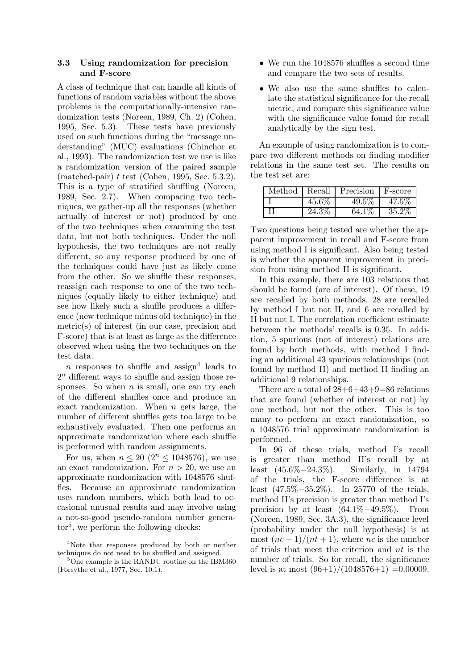# **3.3 Using randomization for precision and F-score**

A class of technique that can handle all kinds of functions of random variables without the above problems is the computationally-intensive randomization tests (Noreen, 1989, Ch. 2) (Cohen, 1995, Sec. 5.3). These tests have previously used on such functions during the "message understanding" (MUC) evaluations (Chinchor et al., 1993). The randomization test we use is like a randomization version of the paired sample  $(matched-pair)$  t test (Cohen, 1995, Sec. 5.3.2). This is a type of stratified shuffling (Noreen, 1989, Sec. 2.7). When comparing two techniques, we gather-up all the responses (whether actually of interest or not) produced by one of the two techniques when examining the test data, but not both techniques. Under the null hypothesis, the two techniques are not really different, so any response produced by one of the techniques could have just as likely come from the other. So we shuffle these responses, reassign each response to one of the two techniques (equally likely to either technique) and see how likely such a shuffle produces a difference (new technique minus old technique) in the metric(s) of interest (in our case, precision and F-score) that is at least as large as the difference observed when using the two techniques on the test data.

n responses to shuffle and assign<sup>4</sup> leads to  $2<sup>n</sup>$  different ways to shuffle and assign those responses. So when  $n$  is small, one can try each of the different shuffles once and produce an exact randomization. When  $n$  gets large, the number of different shuffles gets too large to be exhaustively evaluated. Then one performs an approximate randomization where each shuffle is performed with random assignments.

For us, when  $n \leq 20$   $(2^n \leq 1048576)$ , we use an exact randomization. For  $n > 20$ , we use an approximate randomization with 1048576 shuffles. Because an approximate randomization uses random numbers, which both lead to occasional unusual results and may involve using a not-so-good pseudo-random number genera- $\mathrm{tor}^5$ , we perform the following checks:

- We run the 1048576 shuffles a second time and compare the two sets of results.
- We also use the same shuffles to calculate the statistical significance for the recall metric, and compare this significance value with the significance value found for recall analytically by the sign test.

An example of using randomization is to compare two different methods on finding modifier relations in the same test set. The results on the test set are:

| Method | Recall | Precision | F-score |
|--------|--------|-----------|---------|
|        | 45.6\% | 49.5%     | 47.5%   |
|        | 24.3\% | 64.1%     | 35.2%   |

Two questions being tested are whether the apparent improvement in recall and F-score from using method I is significant. Also being tested is whether the apparent improvement in precision from using method II is significant.

In this example, there are 103 relations that should be found (are of interest). Of these, 19 are recalled by both methods, 28 are recalled by method I but not II, and 6 are recalled by II but not I. The correlation coefficient estimate between the methods' recalls is 0.35. In addition, 5 spurious (not of interest) relations are found by both methods, with method I finding an additional 43 spurious relationships (not found by method II) and method II finding an additional 9 relationships.

There are a total of  $28+6+43+9=86$  relations that are found (whether of interest or not) by one method, but not the other. This is too many to perform an exact randomization, so a 1048576 trial approximate randomization is performed.

In 96 of these trials, method I's recall is greater than method II's recall by at least (45.6%−24.3%). Similarly, in 14794 of the trials, the F-score difference is at least (47.5%−35.2%). In 25770 of the trials, method II's precision is greater than method I's precision by at least  $(64.1\% - 49.5\%)$ . From (Noreen, 1989, Sec. 3A.3), the significance level (probability under the null hypothesis) is at most  $(nc+1)/(nt+1)$ , where nc is the number of trials that meet the criterion and nt is the number of trials. So for recall, the significance level is at most  $(96+1)/(1048576+1) = 0.00009$ .

<sup>&</sup>lt;sup>4</sup>Note that responses produced by both or neither techniques do not need to be shuffled and assigned.

<sup>5</sup>One example is the RANDU routine on the IBM360 (Forsythe et al., 1977, Sec. 10.1).